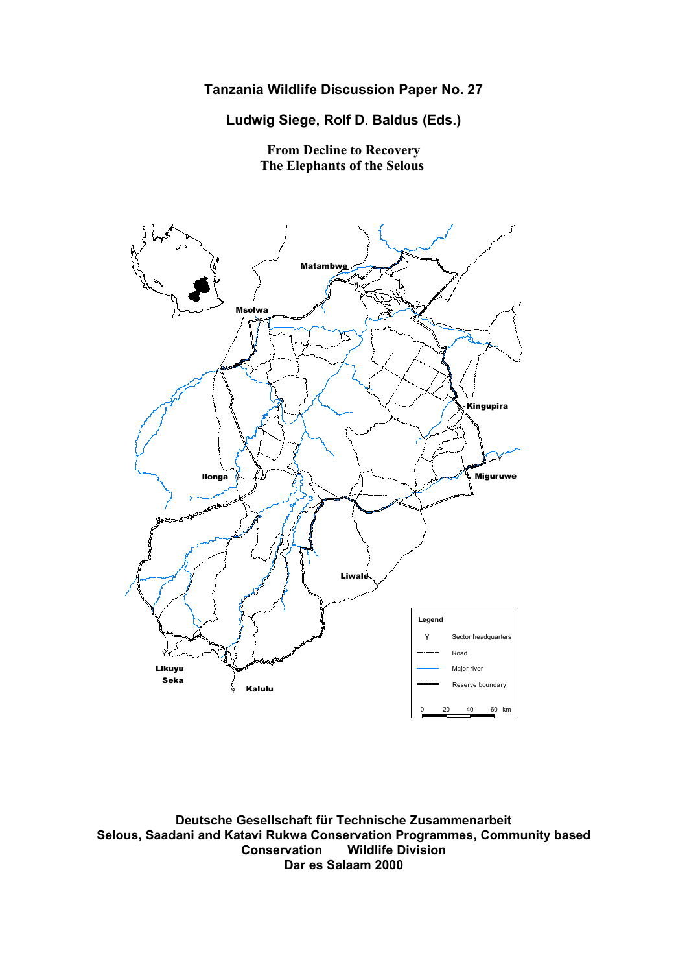**Ludwig Siege, Rolf D. Baldus (Eds.)**

**From Decline to Recovery The Elephants of the Selous**



**Deutsche Gesellschaft für Technische Zusammenarbeit Selous, Saadani and Katavi Rukwa Conservation Programmes, Community based Conservation Wildlife Division Dar es Salaam 2000**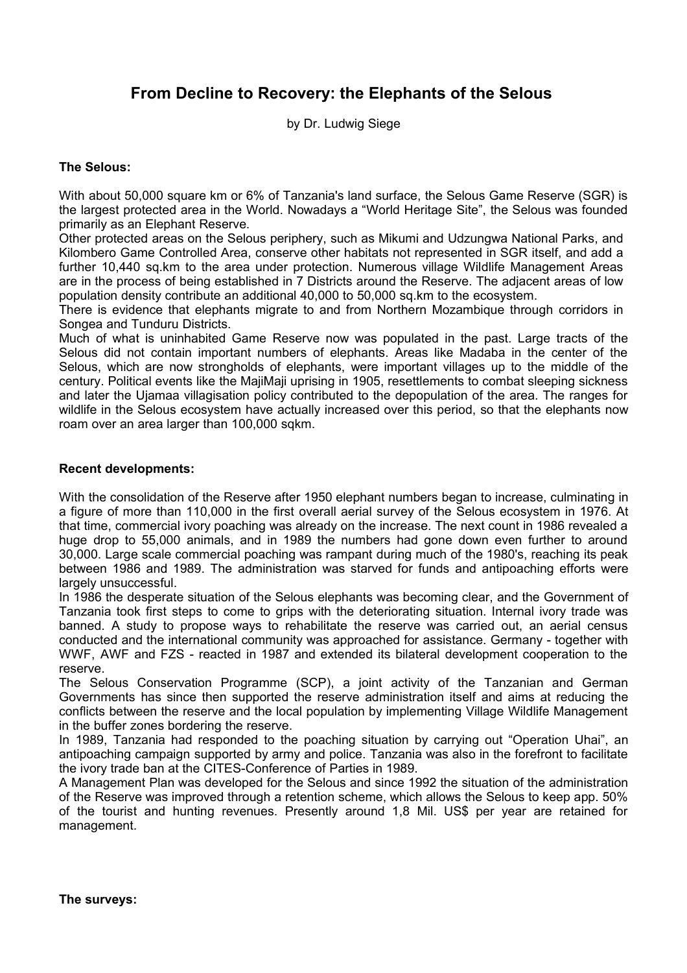# **From Decline to Recovery: the Elephants of the Selous**

by Dr. Ludwig Siege

#### **The Selous:**

With about 50,000 square km or 6% of Tanzania's land surface, the Selous Game Reserve (SGR) is the largest protected area in the World. Nowadays a "World Heritage Site", the Selous was founded primarily as an Elephant Reserve.

Other protected areas on the Selous periphery, such as Mikumi and Udzungwa National Parks, and Kilombero Game Controlled Area, conserve other habitats not represented in SGR itself, and add a further 10,440 sq.km to the area under protection. Numerous village Wildlife Management Areas are in the process of being established in 7 Districts around the Reserve. The adjacent areas of low population density contribute an additional 40,000 to 50,000 sq.km to the ecosystem.

There is evidence that elephants migrate to and from Northern Mozambique through corridors in Songea and Tunduru Districts.

Much of what is uninhabited Game Reserve now was populated in the past. Large tracts of the Selous did not contain important numbers of elephants. Areas like Madaba in the center of the Selous, which are now strongholds of elephants, were important villages up to the middle of the century. Political events like the MajiMaji uprising in 1905, resettlements to combat sleeping sickness and later the Ujamaa villagisation policy contributed to the depopulation of the area. The ranges for wildlife in the Selous ecosystem have actually increased over this period, so that the elephants now roam over an area larger than 100,000 sqkm.

#### **Recent developments:**

With the consolidation of the Reserve after 1950 elephant numbers began to increase, culminating in a figure of more than 110,000 in the first overall aerial survey of the Selous ecosystem in 1976. At that time, commercial ivory poaching was already on the increase. The next count in 1986 revealed a huge drop to 55,000 animals, and in 1989 the numbers had gone down even further to around 30,000. Large scale commercial poaching was rampant during much of the 1980's, reaching its peak between 1986 and 1989. The administration was starved for funds and antipoaching efforts were largely unsuccessful.

In 1986 the desperate situation of the Selous elephants was becoming clear, and the Government of Tanzania took first steps to come to grips with the deteriorating situation. Internal ivory trade was banned. A study to propose ways to rehabilitate the reserve was carried out, an aerial census conducted and the international community was approached for assistance. Germany - together with WWF, AWF and FZS - reacted in 1987 and extended its bilateral development cooperation to the reserve.

The Selous Conservation Programme (SCP), a joint activity of the Tanzanian and German Governments has since then supported the reserve administration itself and aims at reducing the conflicts between the reserve and the local population by implementing Village Wildlife Management in the buffer zones bordering the reserve.

In 1989, Tanzania had responded to the poaching situation by carrying out "Operation Uhai", an antipoaching campaign supported by army and police. Tanzania was also in the forefront to facilitate the ivory trade ban at the CITES-Conference of Parties in 1989.

A Management Plan was developed for the Selous and since 1992 the situation of the administration of the Reserve was improved through a retention scheme, which allows the Selous to keep app. 50% of the tourist and hunting revenues. Presently around 1,8 Mil. US\$ per year are retained for management.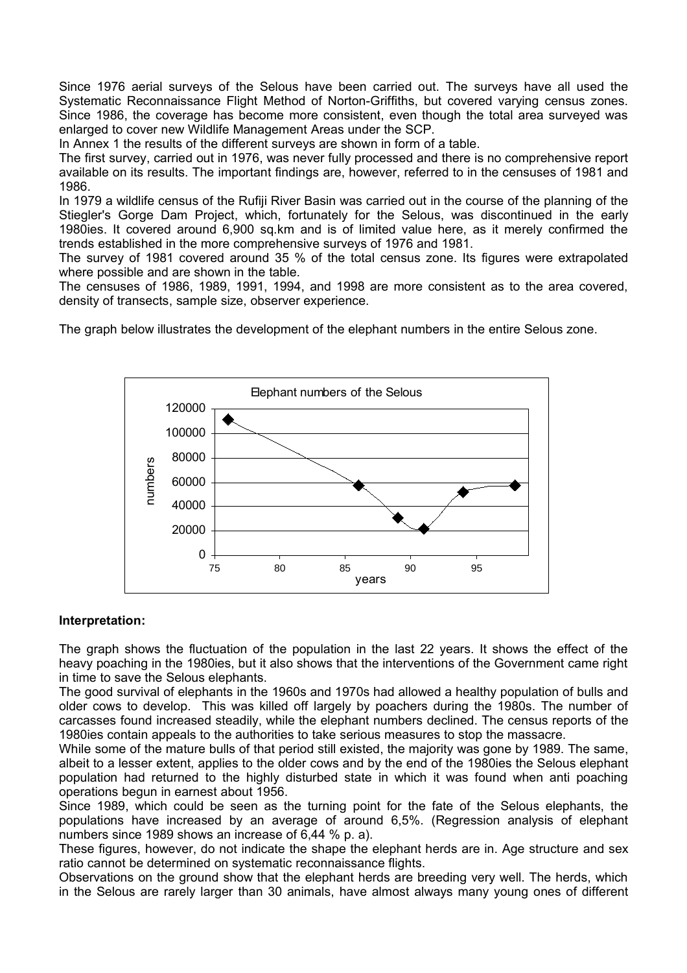Since 1976 aerial surveys of the Selous have been carried out. The surveys have all used the Systematic Reconnaissance Flight Method of Norton-Griffiths, but covered varying census zones. Since 1986, the coverage has become more consistent, even though the total area surveyed was enlarged to cover new Wildlife Management Areas under the SCP.

In Annex 1 the results of the different surveys are shown in form of a table.

The first survey, carried out in 1976, was never fully processed and there is no comprehensive report available on its results. The important findings are, however, referred to in the censuses of 1981 and 1986.

In 1979 a wildlife census of the Rufiji River Basin was carried out in the course of the planning of the Stiegler's Gorge Dam Project, which, fortunately for the Selous, was discontinued in the early 1980ies. It covered around 6,900 sq.km and is of limited value here, as it merely confirmed the trends established in the more comprehensive surveys of 1976 and 1981.

The survey of 1981 covered around 35 % of the total census zone. Its figures were extrapolated where possible and are shown in the table.

The censuses of 1986, 1989, 1991, 1994, and 1998 are more consistent as to the area covered, density of transects, sample size, observer experience.

The graph below illustrates the development of the elephant numbers in the entire Selous zone.



#### **Interpretation:**

The graph shows the fluctuation of the population in the last 22 years. It shows the effect of the heavy poaching in the 1980ies, but it also shows that the interventions of the Government came right in time to save the Selous elephants.

The good survival of elephants in the 1960s and 1970s had allowed a healthy population of bulls and older cows to develop. This was killed off largely by poachers during the 1980s. The number of carcasses found increased steadily, while the elephant numbers declined. The census reports of the 1980ies contain appeals to the authorities to take serious measures to stop the massacre.

While some of the mature bulls of that period still existed, the majority was gone by 1989. The same, albeit to a lesser extent, applies to the older cows and by the end of the 1980ies the Selous elephant population had returned to the highly disturbed state in which it was found when anti poaching operations begun in earnest about 1956.

Since 1989, which could be seen as the turning point for the fate of the Selous elephants, the populations have increased by an average of around 6,5%. (Regression analysis of elephant numbers since 1989 shows an increase of 6,44 % p. a).

These figures, however, do not indicate the shape the elephant herds are in. Age structure and sex ratio cannot be determined on systematic reconnaissance flights.

Observations on the ground show that the elephant herds are breeding very well. The herds, which in the Selous are rarely larger than 30 animals, have almost always many young ones of different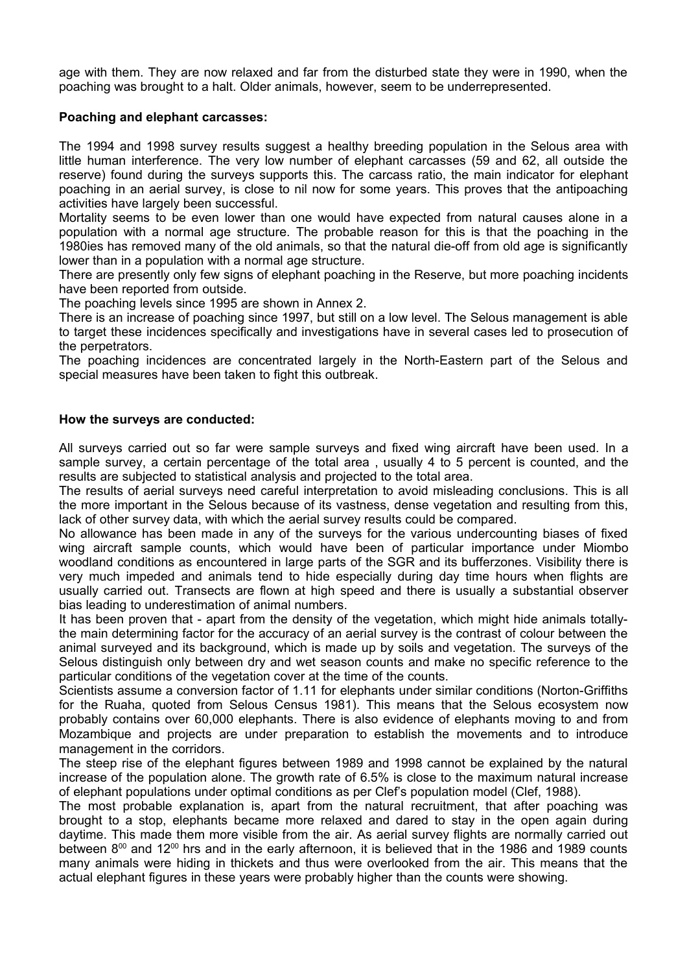age with them. They are now relaxed and far from the disturbed state they were in 1990, when the poaching was brought to a halt. Older animals, however, seem to be underrepresented.

#### **Poaching and elephant carcasses:**

The 1994 and 1998 survey results suggest a healthy breeding population in the Selous area with little human interference. The very low number of elephant carcasses (59 and 62, all outside the reserve) found during the surveys supports this. The carcass ratio, the main indicator for elephant poaching in an aerial survey, is close to nil now for some years. This proves that the antipoaching activities have largely been successful.

Mortality seems to be even lower than one would have expected from natural causes alone in a population with a normal age structure. The probable reason for this is that the poaching in the 1980ies has removed many of the old animals, so that the natural die-off from old age is significantly lower than in a population with a normal age structure.

There are presently only few signs of elephant poaching in the Reserve, but more poaching incidents have been reported from outside.

The poaching levels since 1995 are shown in Annex 2.

There is an increase of poaching since 1997, but still on a low level. The Selous management is able to target these incidences specifically and investigations have in several cases led to prosecution of the perpetrators.

The poaching incidences are concentrated largely in the North-Eastern part of the Selous and special measures have been taken to fight this outbreak.

#### **How the surveys are conducted:**

All surveys carried out so far were sample surveys and fixed wing aircraft have been used. In a sample survey, a certain percentage of the total area, usually 4 to 5 percent is counted, and the results are subjected to statistical analysis and projected to the total area.

The results of aerial surveys need careful interpretation to avoid misleading conclusions. This is all the more important in the Selous because of its vastness, dense vegetation and resulting from this, lack of other survey data, with which the aerial survey results could be compared.

No allowance has been made in any of the surveys for the various undercounting biases of fixed wing aircraft sample counts, which would have been of particular importance under Miombo woodland conditions as encountered in large parts of the SGR and its bufferzones. Visibility there is very much impeded and animals tend to hide especially during day time hours when flights are usually carried out. Transects are flown at high speed and there is usually a substantial observer bias leading to underestimation of animal numbers.

It has been proven that - apart from the density of the vegetation, which might hide animals totallythe main determining factor for the accuracy of an aerial survey is the contrast of colour between the animal surveyed and its background, which is made up by soils and vegetation. The surveys of the Selous distinguish only between dry and wet season counts and make no specific reference to the particular conditions of the vegetation cover at the time of the counts.

Scientists assume a conversion factor of 1.11 for elephants under similar conditions (Norton-Griffiths for the Ruaha, quoted from Selous Census 1981). This means that the Selous ecosystem now probably contains over 60,000 elephants. There is also evidence of elephants moving to and from Mozambique and projects are under preparation to establish the movements and to introduce management in the corridors.

The steep rise of the elephant figures between 1989 and 1998 cannot be explained by the natural increase of the population alone. The growth rate of 6.5% is close to the maximum natural increase of elephant populations under optimal conditions as per Clef's population model (Clef, 1988).

The most probable explanation is, apart from the natural recruitment, that after poaching was brought to a stop, elephants became more relaxed and dared to stay in the open again during daytime. This made them more visible from the air. As aerial survey flights are normally carried out between 8<sup>00</sup> and 12<sup>00</sup> hrs and in the early afternoon, it is believed that in the 1986 and 1989 counts many animals were hiding in thickets and thus were overlooked from the air. This means that the actual elephant figures in these years were probably higher than the counts were showing.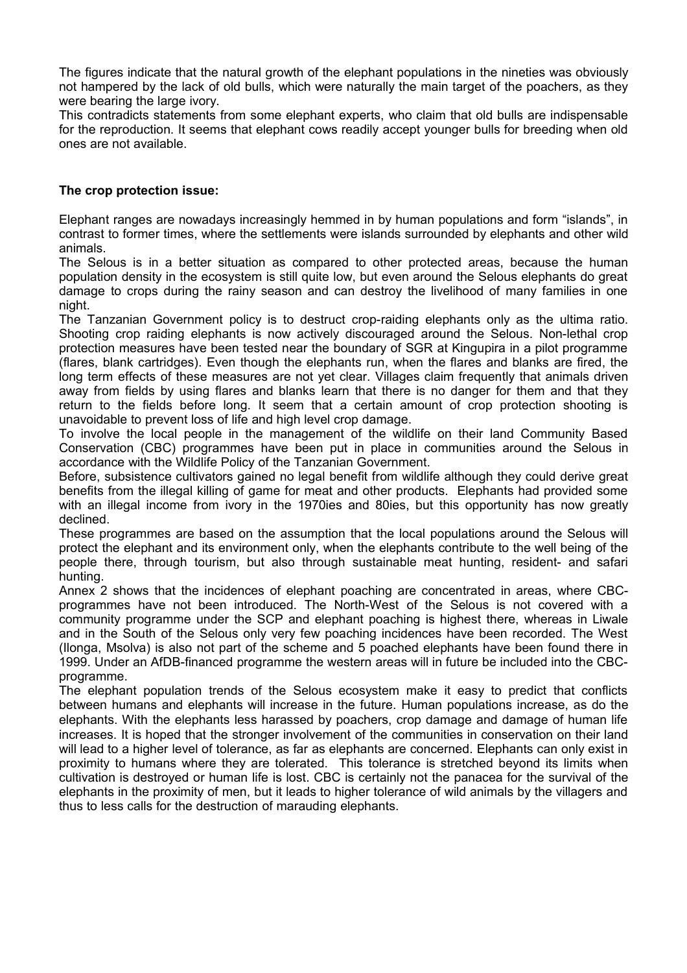The figures indicate that the natural growth of the elephant populations in the nineties was obviously not hampered by the lack of old bulls, which were naturally the main target of the poachers, as they were bearing the large ivory.

This contradicts statements from some elephant experts, who claim that old bulls are indispensable for the reproduction. It seems that elephant cows readily accept younger bulls for breeding when old ones are not available.

#### **The crop protection issue:**

Elephant ranges are nowadays increasingly hemmed in by human populations and form "islands", in contrast to former times, where the settlements were islands surrounded by elephants and other wild animals.

The Selous is in a better situation as compared to other protected areas, because the human population density in the ecosystem is still quite low, but even around the Selous elephants do great damage to crops during the rainy season and can destroy the livelihood of many families in one night.

The Tanzanian Government policy is to destruct crop-raiding elephants only as the ultima ratio. Shooting crop raiding elephants is now actively discouraged around the Selous. Non-lethal crop protection measures have been tested near the boundary of SGR at Kingupira in a pilot programme (flares, blank cartridges). Even though the elephants run, when the flares and blanks are fired, the long term effects of these measures are not yet clear. Villages claim frequently that animals driven away from fields by using flares and blanks learn that there is no danger for them and that they return to the fields before long. It seem that a certain amount of crop protection shooting is unavoidable to prevent loss of life and high level crop damage.

To involve the local people in the management of the wildlife on their land Community Based Conservation (CBC) programmes have been put in place in communities around the Selous in accordance with the Wildlife Policy of the Tanzanian Government.

Before, subsistence cultivators gained no legal benefit from wildlife although they could derive great benefits from the illegal killing of game for meat and other products. Elephants had provided some with an illegal income from ivory in the 1970ies and 80ies, but this opportunity has now greatly declined.

These programmes are based on the assumption that the local populations around the Selous will protect the elephant and its environment only, when the elephants contribute to the well being of the people there, through tourism, but also through sustainable meat hunting, resident- and safari hunting.

Annex 2 shows that the incidences of elephant poaching are concentrated in areas, where CBCprogrammes have not been introduced. The North-West of the Selous is not covered with a community programme under the SCP and elephant poaching is highest there, whereas in Liwale and in the South of the Selous only very few poaching incidences have been recorded. The West (Ilonga, Msolva) is also not part of the scheme and 5 poached elephants have been found there in 1999. Under an AfDB-financed programme the western areas will in future be included into the CBCprogramme.

The elephant population trends of the Selous ecosystem make it easy to predict that conflicts between humans and elephants will increase in the future. Human populations increase, as do the elephants. With the elephants less harassed by poachers, crop damage and damage of human life increases. It is hoped that the stronger involvement of the communities in conservation on their land will lead to a higher level of tolerance, as far as elephants are concerned. Elephants can only exist in proximity to humans where they are tolerated. This tolerance is stretched beyond its limits when cultivation is destroyed or human life is lost. CBC is certainly not the panacea for the survival of the elephants in the proximity of men, but it leads to higher tolerance of wild animals by the villagers and thus to less calls for the destruction of marauding elephants.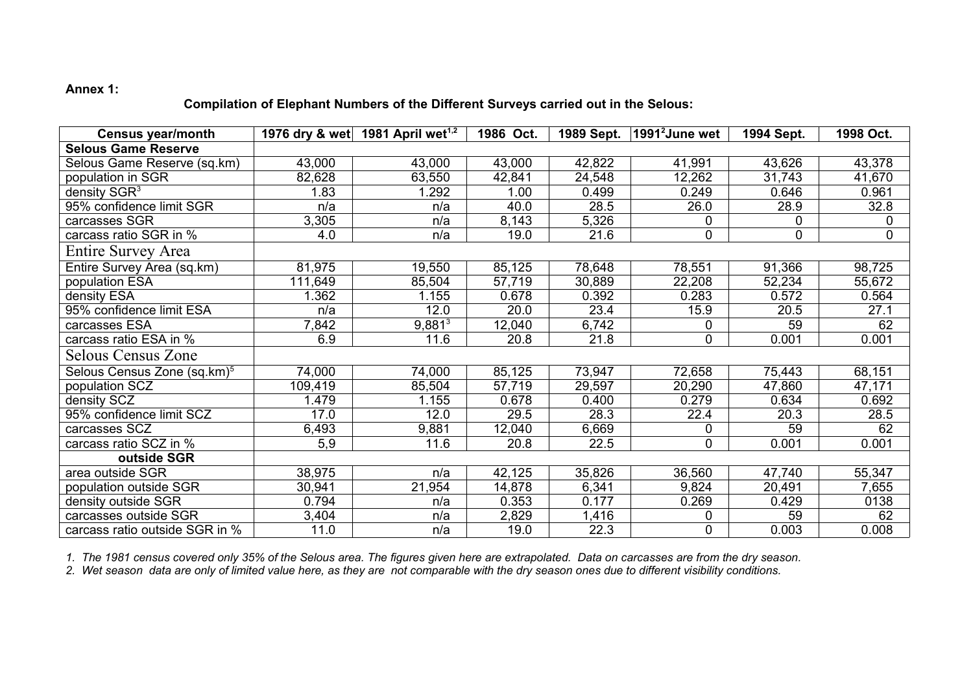### **Annex 1:**

### **Compilation of Elephant Numbers of the Different Surveys carried out in the Selous:**

| <b>Census year/month</b>                |         | 1976 dry & wet 1981 April wet <sup>1,2</sup> | 1986 Oct. | 1989 Sept. | 1991 <sup>2</sup> June wet | 1994 Sept. | 1998 Oct.   |
|-----------------------------------------|---------|----------------------------------------------|-----------|------------|----------------------------|------------|-------------|
| <b>Selous Game Reserve</b>              |         |                                              |           |            |                            |            |             |
| Selous Game Reserve (sq.km)             | 43,000  | 43,000                                       | 43,000    | 42,822     | 41,991                     | 43,626     | 43,378      |
| population in SGR                       | 82,628  | 63,550                                       | 42,841    | 24,548     | 12,262                     | 31,743     | 41,670      |
| density SGR <sup>3</sup>                | 1.83    | 1.292                                        | 1.00      | 0.499      | 0.249                      | 0.646      | 0.961       |
| 95% confidence limit SGR                | n/a     | n/a                                          | 40.0      | 28.5       | 26.0                       | 28.9       | 32.8        |
| carcasses SGR                           | 3,305   | n/a                                          | 8,143     | 5,326      | 0                          | 0          | 0           |
| carcass ratio SGR in %                  | 4.0     | n/a                                          | 19.0      | 21.6       | 0                          | 0          | $\mathbf 0$ |
| Entire Survey Area                      |         |                                              |           |            |                            |            |             |
| Entire Survey Area (sq.km)              | 81,975  | 19,550                                       | 85,125    | 78,648     | 78,551                     | 91,366     | 98,725      |
| population ESA                          | 111,649 | 85,504                                       | 57,719    | 30,889     | 22,208                     | 52,234     | 55,672      |
| density ESA                             | 1.362   | 1.155                                        | 0.678     | 0.392      | 0.283                      | 0.572      | 0.564       |
| 95% confidence limit ESA                | n/a     | 12.0                                         | 20.0      | 23.4       | 15.9                       | 20.5       | 27.1        |
| carcasses ESA                           | 7,842   | $9,881^3$                                    | 12,040    | 6,742      | 0                          | 59         | 62          |
| carcass ratio ESA in %                  | 6.9     | 11.6                                         | 20.8      | 21.8       | 0                          | 0.001      | 0.001       |
| Selous Census Zone                      |         |                                              |           |            |                            |            |             |
| Selous Census Zone (sq.km) <sup>5</sup> | 74,000  | 74,000                                       | 85,125    | 73,947     | 72,658                     | 75,443     | 68,151      |
| population SCZ                          | 109,419 | 85,504                                       | 57,719    | 29,597     | 20,290                     | 47,860     | 47,171      |
| density SCZ                             | 1.479   | 1.155                                        | 0.678     | 0.400      | 0.279                      | 0.634      | 0.692       |
| 95% confidence limit SCZ                | 17.0    | 12.0                                         | 29.5      | 28.3       | 22.4                       | 20.3       | 28.5        |
| carcasses SCZ                           | 6,493   | 9,881                                        | 12,040    | 6,669      | 0                          | 59         | 62          |
| carcass ratio SCZ in %                  | 5,9     | 11.6                                         | 20.8      | 22.5       | 0                          | 0.001      | 0.001       |
| outside SGR                             |         |                                              |           |            |                            |            |             |
| area outside SGR                        | 38,975  | n/a                                          | 42,125    | 35,826     | 36,560                     | 47,740     | 55,347      |
| population outside SGR                  | 30,941  | 21,954                                       | 14,878    | 6,341      | 9,824                      | 20,491     | 7,655       |
| density outside SGR                     | 0.794   | n/a                                          | 0.353     | 0.177      | 0.269                      | 0.429      | 0138        |
| carcasses outside SGR                   | 3,404   | n/a                                          | 2,829     | 1,416      | 0                          | 59         | 62          |
| carcass ratio outside SGR in %          | 11.0    | n/a                                          | 19.0      | 22.3       | 0                          | 0.003      | 0.008       |

*1. The 1981 census covered only 35% of the Selous area. The figures given here are extrapolated. Data on carcasses are from the dry season.*

*2. Wet season data are only of limited value here, as they are not comparable with the dry season ones due to different visibility conditions.*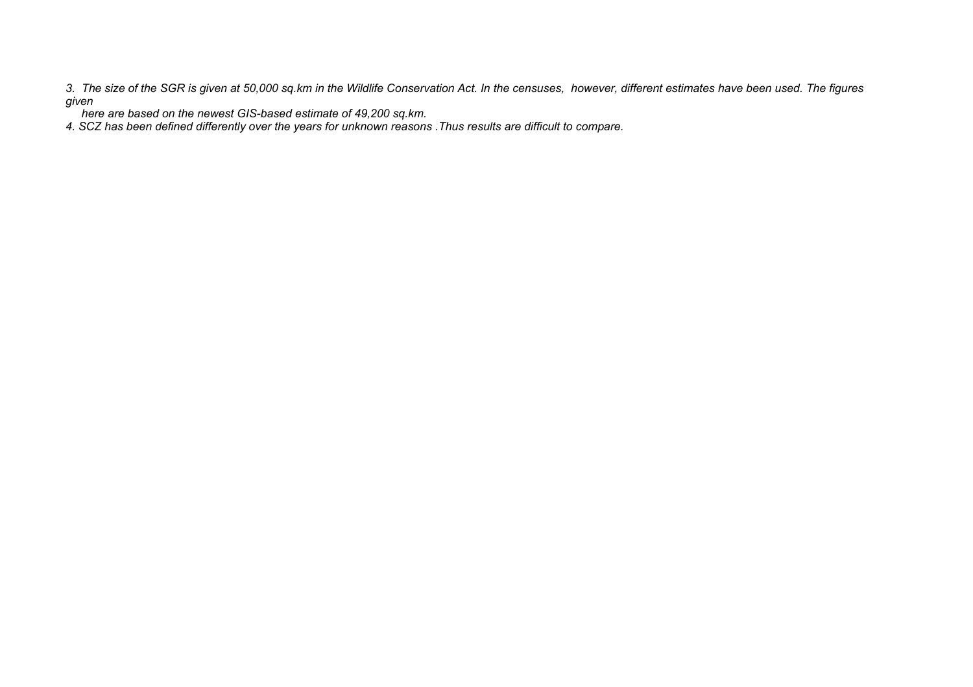*3. The size of the SGR is given at 50,000 sq.km in the Wildlife Conservation Act. In the censuses, however, different estimates have been used. The figures given*

 *here are based on the newest GIS-based estimate of 49,200 sq.km.*

*4. SCZ has been defined differently over the years for unknown reasons .Thus results are difficult to compare.*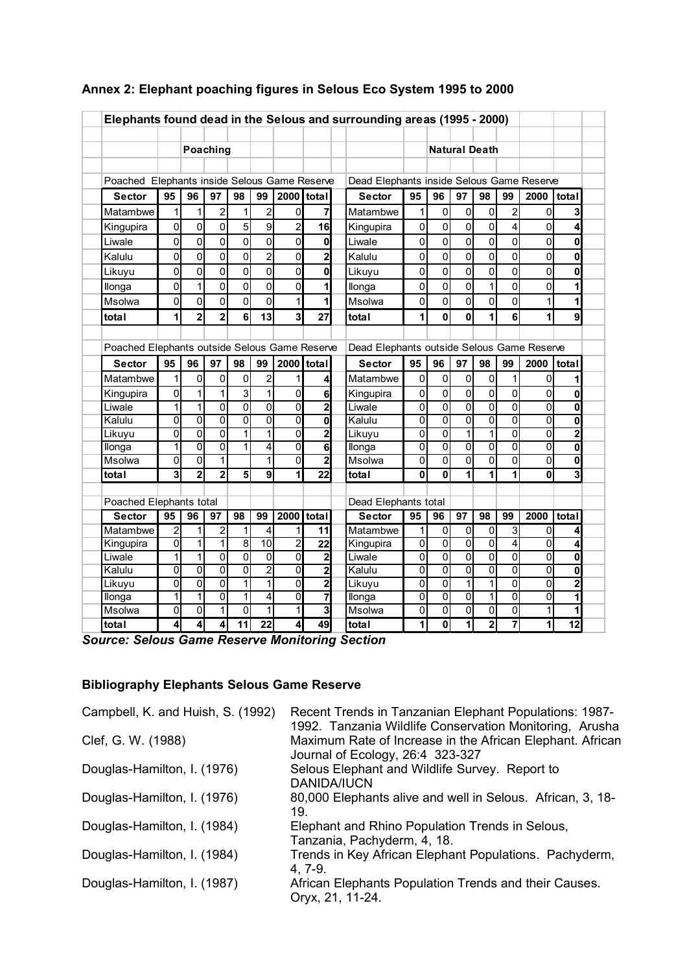|                                               |                         |                |                           |                           |                |                |                         | Elephants found dead in the Selous and surrounding areas (1995 - 2000) |                |                |                           |                      |                         |                |                |
|-----------------------------------------------|-------------------------|----------------|---------------------------|---------------------------|----------------|----------------|-------------------------|------------------------------------------------------------------------|----------------|----------------|---------------------------|----------------------|-------------------------|----------------|----------------|
|                                               |                         |                | Poaching                  |                           |                |                |                         |                                                                        |                |                |                           | <b>Natural Death</b> |                         |                |                |
|                                               |                         |                |                           |                           |                |                |                         |                                                                        |                |                |                           |                      |                         |                |                |
| Poached Elephants inside Selous Game Reserve  |                         |                |                           |                           |                |                |                         | Dead Elephants inside Selous Game Reserve                              |                |                |                           |                      |                         |                |                |
| <b>Sector</b>                                 | 95                      | 96             | 97                        | 98                        | 99             | 2000 total     |                         | <b>Sector</b>                                                          | 95             | 96             | 97                        | 98                   | 99                      | 2000           | <i>I</i> total |
| Matambwe                                      | 1                       | 1              | $\overline{c}$            | 1                         | $\overline{2}$ | 0              | 7                       | Matambwe                                                               | 1              | 0              | 0                         | 0                    | 2                       | 0              | 3              |
| Kingupira                                     | $\mathbf 0$             | 0              | 0                         | 5                         | 9              | $\overline{c}$ | 16                      | Kingupira                                                              | 0              | 0              | 0                         | 0                    | 4                       | 0              | 4              |
| Liwale                                        | 0                       | 0              | $\overline{0}$            | $\overline{0}$            | 0              | 0              | 0                       | Liwale                                                                 | 0              | 0              | 0                         | 0                    | $\Omega$                | $\Omega$       | 0              |
| Kalulu                                        | $\mathbf 0$             | $\mathbf 0$    | 0                         | 0                         | $\overline{2}$ | 0              | $\overline{2}$          | Kalulu                                                                 | 0              | $\mathbf 0$    | $\mathbf 0$               | $\mathbf 0$          | $\mathbf 0$             | 0              | 0              |
| Likuyu                                        | 0                       | 0              | 0                         | $\overline{0}$            | 0              | 0              | 0                       | Likuvu                                                                 | $\overline{0}$ | $\mathbf 0$    | 0                         | 0                    | $\Omega$                | 0              | 0              |
| llonga                                        | 0                       | 1              | 0                         | $\overline{0}$            | 0              | 0              | 1                       | llonga                                                                 | 0              | 0              | 0                         | 1                    | 0                       | 0              | 1              |
| Msolwa                                        | $\overline{0}$          | 0              | 0                         | $\overline{0}$            | 0              | 1              | 1                       | Msolwa                                                                 | 0              | 0              | 0                         | 0                    | $\Omega$                | 1              | 1              |
| total                                         | 1                       | $\overline{2}$ | $\overline{\mathbf{2}}$   | 6                         | 13             | 3              | 27                      | total                                                                  | 1              | 0              | 0                         | 1                    | 6                       | 1              | 9              |
|                                               |                         |                |                           |                           |                |                |                         |                                                                        |                |                |                           |                      |                         |                |                |
| Poached Elephants outside Selous Game Reserve |                         |                |                           |                           |                |                |                         | Dead Elephants outside Selous Game Reserve                             |                |                |                           |                      |                         |                |                |
|                                               |                         | 96             |                           |                           |                |                |                         |                                                                        | 95             | 96             | 97                        |                      |                         | 2000           |                |
| <b>Sector</b>                                 | 95                      |                | 97                        | 98                        | 99             | 2000           | total                   | <b>Sector</b>                                                          |                |                |                           | 98                   | 99                      |                | total          |
| Matambwe                                      | $\mathbf 1$             | $\mathbf 0$    | $\mathbf 0$               | $\mathbf 0$               | $\overline{c}$ | 1              | 4                       | Matambwe                                                               | $\mathbf 0$    | $\overline{0}$ | $\mathbf 0$               | $\mathbf 0$          | 1                       | 0              | 1              |
| Kingupira                                     | $\mathbf 0$             | 1              | $\mathbf{1}$              | 3                         | $\mathbf{1}$   | $\overline{0}$ | 6                       | Kingupira                                                              | 0              | $\mathbf 0$    | $\mathbf 0$               | $\mathbf 0$          | 0                       | 0              | 0              |
| Liwale                                        | 1                       | $\overline{1}$ | $\overline{0}$            | $\overline{0}$            | $\overline{0}$ | $\overline{0}$ | $\overline{2}$          | Liwale                                                                 | $\overline{0}$ | $\overline{0}$ | $\overline{0}$            | $\overline{0}$       | $\overline{0}$          | 0              | 0              |
| Kalulu                                        | $\overline{0}$          | 0              | $\overline{0}$            | $\overline{0}$            | $\overline{0}$ | $\overline{0}$ | $\overline{\mathbf{0}}$ | Kalulu                                                                 | 0              | 0              | $\overline{0}$            | $\overline{0}$       | $\Omega$                | 0              | 0              |
| Likuyu                                        | 0                       | 0              | $\overline{\mathfrak{o}}$ | 1                         | 1              | 0              | $\overline{2}$          | Likuyu                                                                 | 0              | 0              | $\mathbf{1}$              | 1                    | $\mathbf 0$             | 0              | $\overline{2}$ |
| llonga                                        | 1                       | $\overline{0}$ | $\overline{0}$            | 1                         | 4              | $\overline{0}$ | 6                       | llonga                                                                 | $\overline{0}$ | $\overline{0}$ | $\overline{0}$            | $\mathbf 0$          | $\Omega$                | 0              | 0              |
| Msolwa                                        | 0                       | 0              | 1                         |                           | 1              | 0              | $\overline{2}$          | Msolwa                                                                 | 0              | 0              | 0                         | 0                    | $\overline{0}$          | 0              | 0              |
| total                                         | $\overline{\mathbf{3}}$ | $\overline{2}$ | $\overline{2}$            | 5                         | 9              | 1              | $\overline{22}$         | total                                                                  | $\mathbf{0}$   | 0              | 1                         | 1                    | 1                       | $\bf{0}$       | 3              |
|                                               |                         |                |                           |                           |                |                |                         |                                                                        |                |                |                           |                      |                         |                |                |
| Poached Elephants total                       |                         |                |                           |                           |                |                |                         | Dead Elephants total                                                   |                |                |                           |                      |                         |                |                |
| <b>Sector</b>                                 | 95                      | 96             | 97                        | 98                        | 99             | 2000           | total                   | <b>Sector</b>                                                          | 95             | 96             | 97                        | 98                   | 99                      | 2000           | total          |
| Matambwe                                      | $\overline{2}$          | 1              | $\overline{2}$            | 1                         | 4              | 1              | 11                      | Matambwe                                                               | 1              | $\mathbf 0$    | 0                         | 0                    | 3                       | 0              | 4              |
| Kingupira                                     | 0                       | 1              | 1                         | 8                         | 10             | $\overline{2}$ | 22                      | Kingupira                                                              | 0              | 0              | 0                         | 0                    | 4                       | 0              | 4              |
| Liwale                                        | 1                       | 1              | $\overline{0}$            | $\overline{\mathfrak{o}}$ | $\overline{0}$ | $\overline{0}$ | $\overline{\mathbf{c}}$ | Liwale                                                                 | $\mathbf 0$    | $\overline{0}$ | $\overline{\mathfrak{o}}$ | $\overline{0}$       | $\overline{0}$          | 0              | 0              |
| Kalulu                                        | $\overline{0}$          | $\overline{0}$ | $\overline{0}$            | $\overline{0}$            | $\overline{2}$ | $\overline{0}$ | $\overline{2}$          | Kalulu                                                                 | $\overline{0}$ | $\overline{0}$ | $\overline{0}$            | $\overline{0}$       | $\overline{0}$          | $\overline{0}$ | 0              |
| Likuyu                                        | $\overline{0}$          | $\overline{0}$ | $\overline{0}$            | $\overline{1}$            | $\overline{1}$ | $\overline{0}$ | $\overline{2}$          | Likuyu                                                                 | 0              | $\overline{0}$ | $\overline{1}$            | $\overline{1}$       | $\overline{0}$          | 0              | $\overline{2}$ |
| llonga                                        | 1                       | $\overline{1}$ | $\overline{\mathfrak{o}}$ | 1                         | 4              | $\overline{0}$ | 7                       | llonga                                                                 | 0              | $\overline{0}$ | $\overline{\mathfrak{o}}$ | $\overline{1}$       | 0                       | 0              | 1              |
| Msolwa                                        | 0                       | 0              | 1                         | $\overline{0}$            | 1              | 1              | 3                       | Msolwa                                                                 | 0              | $\overline{0}$ | $\overline{0}$            | 0                    | $\mathbf 0$             | 1              | 1              |
| total                                         | 4                       | 4              | 4                         | 11                        | 22             | 4              | 49                      | total                                                                  | 1              | 0              | 1                         | $\overline{2}$       | $\overline{\mathbf{z}}$ | 1              | 12             |

## **Annex 2: Elephant poaching figures in Selous Eco System 1995 to 2000**

# **Bibliography Elephants Selous Game Reserve**

| Campbell, K. and Huish, S. (1992) | Recent Trends in Tanzanian Elephant Populations: 1987-<br>1992. Tanzania Wildlife Conservation Monitoring, Arusha |
|-----------------------------------|-------------------------------------------------------------------------------------------------------------------|
| Clef, G. W. (1988)                | Maximum Rate of Increase in the African Elephant. African<br>Journal of Ecology, 26:4 323-327                     |
| Douglas-Hamilton, I. (1976)       | Selous Elephant and Wildlife Survey. Report to<br>DANIDA/IUCN                                                     |
| Douglas-Hamilton, I. (1976)       | 80,000 Elephants alive and well in Selous. African, 3, 18-<br>19.                                                 |
| Douglas-Hamilton, I. (1984)       | Elephant and Rhino Population Trends in Selous,<br>Tanzania, Pachyderm, 4, 18.                                    |
| Douglas-Hamilton, I. (1984)       | Trends in Key African Elephant Populations. Pachyderm,<br>$4.7 - 9.$                                              |
| Douglas-Hamilton, I. (1987)       | African Elephants Population Trends and their Causes.<br>Oryx, 21, 11-24.                                         |

*Source: Selous Game Reserve Monitoring Section*